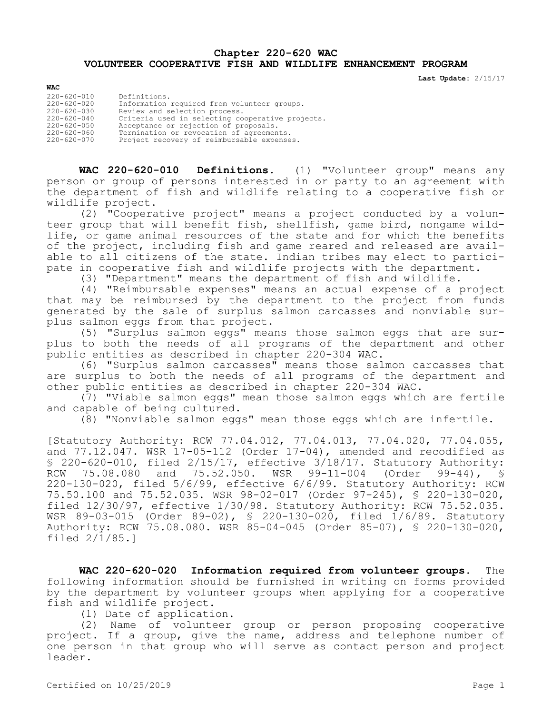## **Chapter 220-620 WAC VOLUNTEER COOPERATIVE FISH AND WILDLIFE ENHANCEMENT PROGRAM**

**Last Update:** 2/15/17

| <b>WAC</b>                                                                                                     |                                                                                                                                                                                                                                       |
|----------------------------------------------------------------------------------------------------------------|---------------------------------------------------------------------------------------------------------------------------------------------------------------------------------------------------------------------------------------|
| 220-620-010<br>$220 - 620 - 020$<br>$220 - 620 - 030$<br>$220 - 620 - 040$<br>220-620-050<br>$220 - 620 - 060$ | Definitions.<br>Information required from volunteer groups.<br>Review and selection process.<br>Criteria used in selecting cooperative projects.<br>Acceptance or rejection of proposals.<br>Termination or revocation of agreements. |
| $220 - 620 - 070$                                                                                              | Project recovery of reimbursable expenses.                                                                                                                                                                                            |

**WAC 220-620-010 Definitions.** (1) "Volunteer group" means any person or group of persons interested in or party to an agreement with the department of fish and wildlife relating to a cooperative fish or wildlife project.

(2) "Cooperative project" means a project conducted by a volunteer group that will benefit fish, shellfish, game bird, nongame wildlife, or game animal resources of the state and for which the benefits of the project, including fish and game reared and released are available to all citizens of the state. Indian tribes may elect to participate in cooperative fish and wildlife projects with the department.

(3) "Department" means the department of fish and wildlife.

(4) "Reimbursable expenses" means an actual expense of a project that may be reimbursed by the department to the project from funds generated by the sale of surplus salmon carcasses and nonviable surplus salmon eggs from that project.

(5) "Surplus salmon eggs" means those salmon eggs that are surplus to both the needs of all programs of the department and other public entities as described in chapter 220-304 WAC.

(6) "Surplus salmon carcasses" means those salmon carcasses that are surplus to both the needs of all programs of the department and other public entities as described in chapter 220-304 WAC.

(7) "Viable salmon eggs" mean those salmon eggs which are fertile and capable of being cultured.

(8) "Nonviable salmon eggs" mean those eggs which are infertile.

[Statutory Authority: RCW 77.04.012, 77.04.013, 77.04.020, 77.04.055, and  $77.12.047$ . WSR  $17-05-112$  (Order  $17-04$ ), amended and recodified as § 220-620-010, filed 2/15/17, effective 3/18/17. Statutory Authority: RCW 75.08.080 and 75.52.050. WSR 99-11-004 (Order 99-44), § 220-130-020, filed 5/6/99, effective 6/6/99. Statutory Authority: RCW 75.50.100 and 75.52.035. WSR 98-02-017 (Order 97-245), § 220-130-020, filed 12/30/97, effective 1/30/98. Statutory Authority: RCW 75.52.035. WSR 89-03-015 (Order 89-02), § 220-130-020, filed 1/6/89. Statutory Authority: RCW 75.08.080. WSR 85-04-045 (Order 85-07), § 220-130-020, filed 2/1/85.]

**WAC 220-620-020 Information required from volunteer groups.** The following information should be furnished in writing on forms provided by the department by volunteer groups when applying for a cooperative fish and wildlife project.

(1) Date of application.

(2) Name of volunteer group or person proposing cooperative project. If a group, give the name, address and telephone number of one person in that group who will serve as contact person and project leader.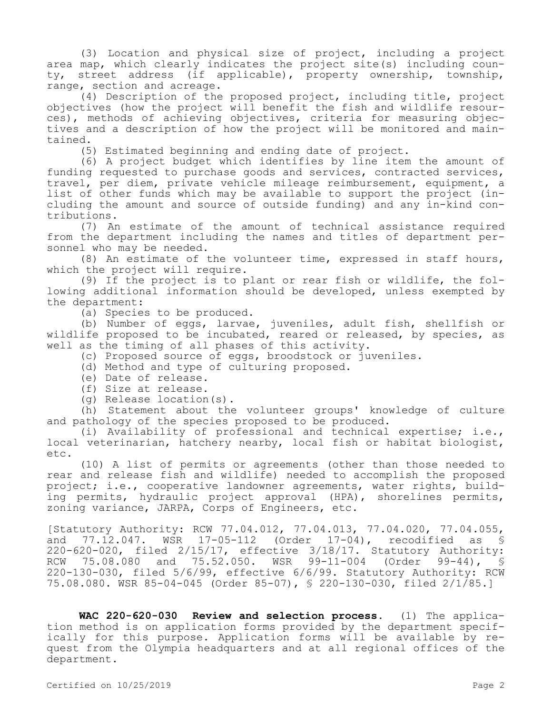(3) Location and physical size of project, including a project area map, which clearly indicates the project site(s) including county, street address (if applicable), property ownership, township, range, section and acreage.

(4) Description of the proposed project, including title, project objectives (how the project will benefit the fish and wildlife resources), methods of achieving objectives, criteria for measuring objectives and a description of how the project will be monitored and maintained.

(5) Estimated beginning and ending date of project.

(6) A project budget which identifies by line item the amount of funding requested to purchase goods and services, contracted services, travel, per diem, private vehicle mileage reimbursement, equipment, a list of other funds which may be available to support the project (including the amount and source of outside funding) and any in-kind contributions.

(7) An estimate of the amount of technical assistance required from the department including the names and titles of department personnel who may be needed.

(8) An estimate of the volunteer time, expressed in staff hours, which the project will require.

(9) If the project is to plant or rear fish or wildlife, the following additional information should be developed, unless exempted by the department:

(a) Species to be produced.

(b) Number of eggs, larvae, juveniles, adult fish, shellfish or wildlife proposed to be incubated, reared or released, by species, as well as the timing of all phases of this activity.

(c) Proposed source of eggs, broodstock or juveniles.

- (d) Method and type of culturing proposed.
- (e) Date of release.
- (f) Size at release.
- (g) Release location(s).

(h) Statement about the volunteer groups' knowledge of culture and pathology of the species proposed to be produced.

(i) Availability of professional and technical expertise; i.e., local veterinarian, hatchery nearby, local fish or habitat biologist, etc.

(10) A list of permits or agreements (other than those needed to rear and release fish and wildlife) needed to accomplish the proposed project; i.e., cooperative landowner agreements, water rights, building permits, hydraulic project approval (HPA), shorelines permits, zoning variance, JARPA, Corps of Engineers, etc.

[Statutory Authority: RCW 77.04.012, 77.04.013, 77.04.020, 77.04.055, and 77.12.047. WSR 17-05-112 (Order 17-04), recodified as § 220-620-020, filed 2/15/17, effective 3/18/17. Statutory Authority:<br>RCW 75.08.080 and 75.52.050. WSR 99-11-004 (Order 99-44), \$ RCW 75.08.080 and 75.52.050. WSR 99-11-004 (Order 99-44), S 220-130-030, filed 5/6/99, effective 6/6/99. Statutory Authority: RCW 75.08.080. WSR 85-04-045 (Order 85-07), § 220-130-030, filed 2/1/85.]

**WAC 220-620-030 Review and selection process.** (1) The application method is on application forms provided by the department specifically for this purpose. Application forms will be available by request from the Olympia headquarters and at all regional offices of the department.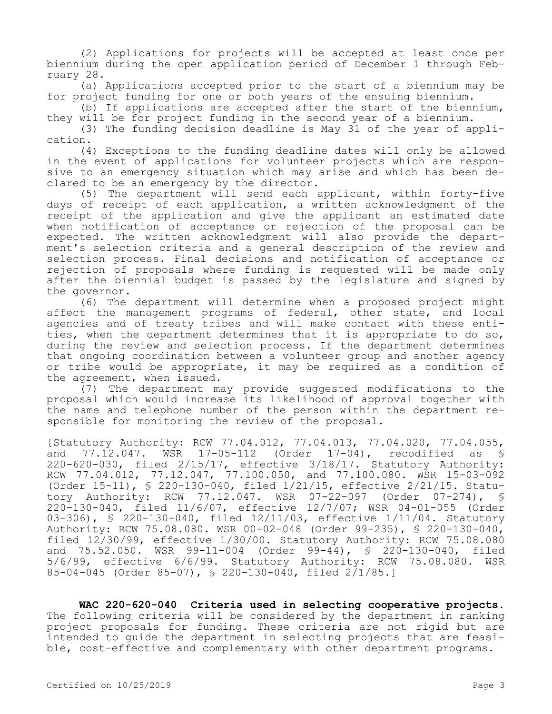(2) Applications for projects will be accepted at least once per biennium during the open application period of December 1 through February 28.

(a) Applications accepted prior to the start of a biennium may be for project funding for one or both years of the ensuing biennium.

(b) If applications are accepted after the start of the biennium, they will be for project funding in the second year of a biennium.

(3) The funding decision deadline is May 31 of the year of application.

(4) Exceptions to the funding deadline dates will only be allowed in the event of applications for volunteer projects which are responsive to an emergency situation which may arise and which has been declared to be an emergency by the director.

(5) The department will send each applicant, within forty-five days of receipt of each application, a written acknowledgment of the receipt of the application and give the applicant an estimated date when notification of acceptance or rejection of the proposal can be expected. The written acknowledgment will also provide the department's selection criteria and a general description of the review and selection process. Final decisions and notification of acceptance or rejection of proposals where funding is requested will be made only after the biennial budget is passed by the legislature and signed by the governor.

(6) The department will determine when a proposed project might affect the management programs of federal, other state, and local agencies and of treaty tribes and will make contact with these entities, when the department determines that it is appropriate to do so, during the review and selection process. If the department determines that ongoing coordination between a volunteer group and another agency or tribe would be appropriate, it may be required as a condition of the agreement, when issued.

(7) The department may provide suggested modifications to the proposal which would increase its likelihood of approval together with the name and telephone number of the person within the department responsible for monitoring the review of the proposal.

[Statutory Authority: RCW 77.04.012, 77.04.013, 77.04.020, 77.04.055,<br>and 77.12.047. WSR 17-05-112 (Order 17-04), recodified as § and 77.12.047. WSR 17-05-112 (Order 17-04), recodified as § 220-620-030, filed 2/15/17, effective 3/18/17. Statutory Authority: RCW 77.04.012, 77.12.047, 77.100.050, and 77.100.080. WSR 15-03-092 (Order 15-11), § 220-130-040, filed 1/21/15, effective 2/21/15. Statutory Authority: RCW 77.12.047. WSR 07-22-097 (Order 07-274), § 220-130-040, filed 11/6/07, effective 12/7/07; WSR 04-01-055 (Order 03-306), § 220-130-040, filed 12/11/03, effective 1/11/04. Statutory Authority: RCW 75.08.080. WSR 00-02-048 (Order 99-235), § 220-130-040, filed 12/30/99, effective 1/30/00. Statutory Authority: RCW 75.08.080 and 75.52.050. WSR 99-11-004 (Order 99-44), § 220-130-040, filed 5/6/99, effective 6/6/99. Statutory Authority: RCW 75.08.080. WSR 85-04-045 (Order 85-07), § 220-130-040, filed 2/1/85.]

**WAC 220-620-040 Criteria used in selecting cooperative projects.**  The following criteria will be considered by the department in ranking project proposals for funding. These criteria are not rigid but are intended to guide the department in selecting projects that are feasible, cost-effective and complementary with other department programs.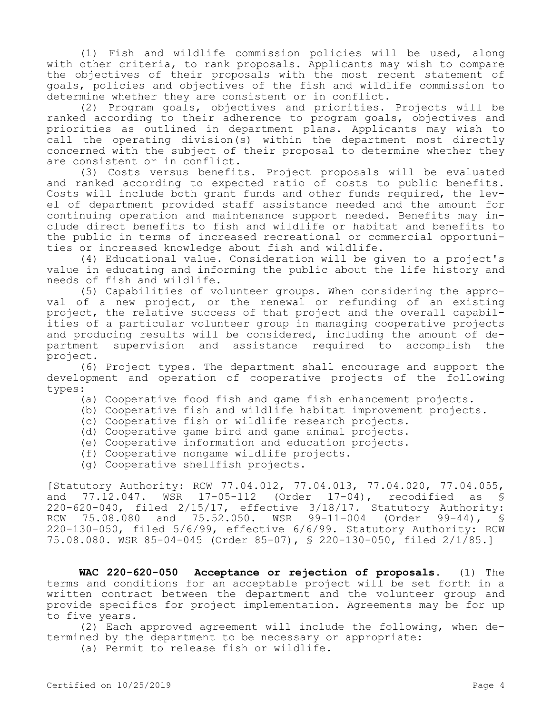(1) Fish and wildlife commission policies will be used, along with other criteria, to rank proposals. Applicants may wish to compare the objectives of their proposals with the most recent statement of goals, policies and objectives of the fish and wildlife commission to determine whether they are consistent or in conflict.

(2) Program goals, objectives and priorities. Projects will be ranked according to their adherence to program goals, objectives and priorities as outlined in department plans. Applicants may wish to call the operating division(s) within the department most directly concerned with the subject of their proposal to determine whether they are consistent or in conflict.

(3) Costs versus benefits. Project proposals will be evaluated and ranked according to expected ratio of costs to public benefits. Costs will include both grant funds and other funds required, the level of department provided staff assistance needed and the amount for continuing operation and maintenance support needed. Benefits may include direct benefits to fish and wildlife or habitat and benefits to the public in terms of increased recreational or commercial opportunities or increased knowledge about fish and wildlife.

(4) Educational value. Consideration will be given to a project's value in educating and informing the public about the life history and needs of fish and wildlife.

(5) Capabilities of volunteer groups. When considering the approval of a new project, or the renewal or refunding of an existing project, the relative success of that project and the overall capabilities of a particular volunteer group in managing cooperative projects and producing results will be considered, including the amount of department supervision and assistance required to accomplish the project.

(6) Project types. The department shall encourage and support the development and operation of cooperative projects of the following types:

- (a) Cooperative food fish and game fish enhancement projects.
- (b) Cooperative fish and wildlife habitat improvement projects.
- (c) Cooperative fish or wildlife research projects.
- (d) Cooperative game bird and game animal projects.
- (e) Cooperative information and education projects.
- (f) Cooperative nongame wildlife projects.
- (g) Cooperative shellfish projects.

[Statutory Authority: RCW 77.04.012, 77.04.013, 77.04.020, 77.04.055, and 77.12.047. WSR 17-05-112 (Order 17-04), recodified as § 220-620-040, filed 2/15/17, effective 3/18/17. Statutory Authority: RCW 75.08.080 and 75.52.050. WSR 99-11-004 (Order 99-44), § 220-130-050, filed 5/6/99, effective 6/6/99. Statutory Authority: RCW 75.08.080. WSR 85-04-045 (Order 85-07), § 220-130-050, filed 2/1/85.]

**WAC 220-620-050 Acceptance or rejection of proposals.** (1) The terms and conditions for an acceptable project will be set forth in a written contract between the department and the volunteer group and provide specifics for project implementation. Agreements may be for up to five years.

(2) Each approved agreement will include the following, when determined by the department to be necessary or appropriate:

(a) Permit to release fish or wildlife.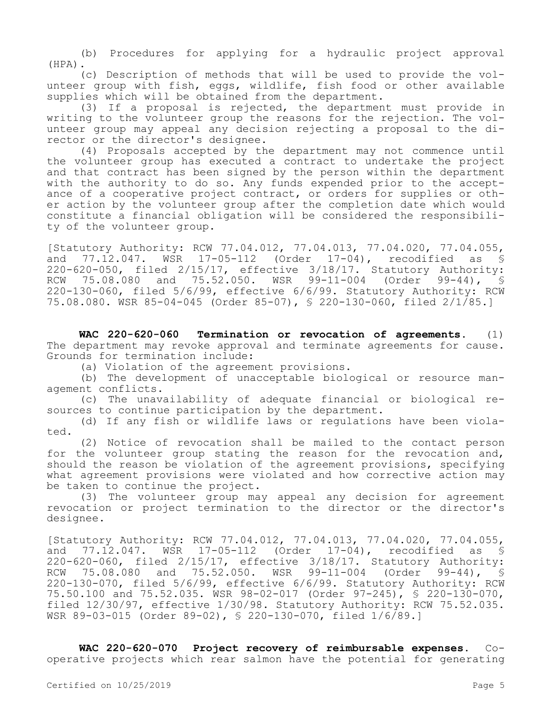(b) Procedures for applying for a hydraulic project approval (HPA).

(c) Description of methods that will be used to provide the volunteer group with fish, eggs, wildlife, fish food or other available supplies which will be obtained from the department.

(3) If a proposal is rejected, the department must provide in writing to the volunteer group the reasons for the rejection. The volunteer group may appeal any decision rejecting a proposal to the director or the director's designee.

(4) Proposals accepted by the department may not commence until the volunteer group has executed a contract to undertake the project and that contract has been signed by the person within the department with the authority to do so. Any funds expended prior to the acceptance of a cooperative project contract, or orders for supplies or other action by the volunteer group after the completion date which would constitute a financial obligation will be considered the responsibility of the volunteer group.

[Statutory Authority: RCW 77.04.012, 77.04.013, 77.04.020, 77.04.055,<br>and 77.12.047. WSR 17-05-112 (Order 17-04), recodified as § and 77.12.047. WSR 17-05-112 (Order 17-04), recodified as § 220-620-050, filed 2/15/17, effective 3/18/17. Statutory Authority: RCW 75.08.080 and 75.52.050. WSR 99-11-004 (Order 99-44), § 220-130-060, filed 5/6/99, effective 6/6/99. Statutory Authority: RCW 75.08.080. WSR 85-04-045 (Order 85-07), § 220-130-060, filed 2/1/85.]

**WAC 220-620-060 Termination or revocation of agreements.** (1) The department may revoke approval and terminate agreements for cause. Grounds for termination include:

(a) Violation of the agreement provisions.

(b) The development of unacceptable biological or resource management conflicts.

(c) The unavailability of adequate financial or biological resources to continue participation by the department.

(d) If any fish or wildlife laws or regulations have been violated.

(2) Notice of revocation shall be mailed to the contact person for the volunteer group stating the reason for the revocation and, should the reason be violation of the agreement provisions, specifying what agreement provisions were violated and how corrective action may be taken to continue the project.

(3) The volunteer group may appeal any decision for agreement revocation or project termination to the director or the director's designee.

[Statutory Authority: RCW 77.04.012, 77.04.013, 77.04.020, 77.04.055, and 77.12.047. WSR 17-05-112 (Order 17-04), recodified as § 220-620-060, filed 2/15/17, effective 3/18/17. Statutory Authority: RCW 75.08.080 and 75.52.050. WSR 99-11-004 (Order 99-44), § 220-130-070, filed 5/6/99, effective 6/6/99. Statutory Authority: RCW 75.50.100 and 75.52.035. WSR 98-02-017 (Order 97-245), § 220-130-070, filed 12/30/97, effective 1/30/98. Statutory Authority: RCW 75.52.035. WSR 89-03-015 (Order 89-02), § 220-130-070, filed 1/6/89.]

**WAC 220-620-070 Project recovery of reimbursable expenses.** Cooperative projects which rear salmon have the potential for generating